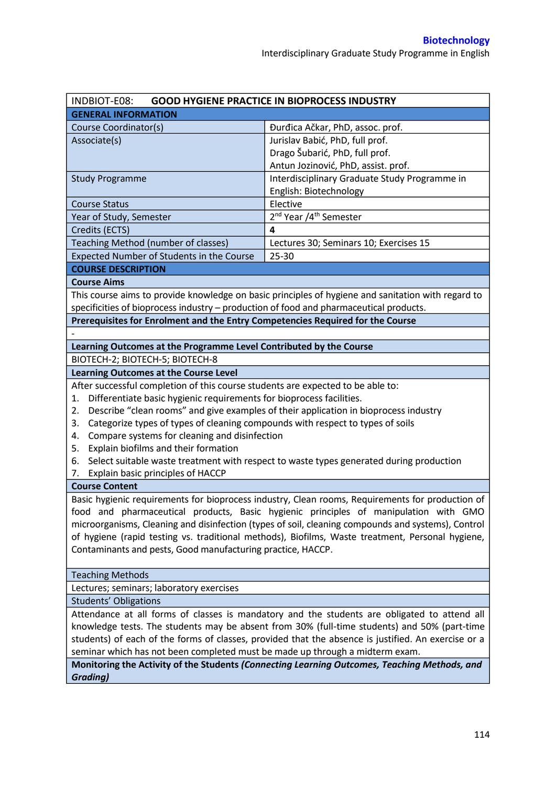| INDBIOT-E08:                                                                                        | <b>GOOD HYGIENE PRACTICE IN BIOPROCESS INDUSTRY</b>                                                |  |  |  |  |
|-----------------------------------------------------------------------------------------------------|----------------------------------------------------------------------------------------------------|--|--|--|--|
| <b>GENERAL INFORMATION</b>                                                                          |                                                                                                    |  |  |  |  |
| Course Coordinator(s)                                                                               | Đurđica Ačkar, PhD, assoc. prof.                                                                   |  |  |  |  |
| Associate(s)                                                                                        | Jurislav Babić, PhD, full prof.                                                                    |  |  |  |  |
|                                                                                                     | Drago Šubarić, PhD, full prof.                                                                     |  |  |  |  |
|                                                                                                     | Antun Jozinović, PhD, assist. prof.                                                                |  |  |  |  |
| <b>Study Programme</b>                                                                              | Interdisciplinary Graduate Study Programme in                                                      |  |  |  |  |
|                                                                                                     | English: Biotechnology                                                                             |  |  |  |  |
| <b>Course Status</b>                                                                                | Elective                                                                                           |  |  |  |  |
| Year of Study, Semester                                                                             | 2 <sup>nd</sup> Year /4 <sup>th</sup> Semester                                                     |  |  |  |  |
| Credits (ECTS)                                                                                      | 4                                                                                                  |  |  |  |  |
| Teaching Method (number of classes)                                                                 | Lectures 30; Seminars 10; Exercises 15                                                             |  |  |  |  |
| Expected Number of Students in the Course                                                           | 25-30                                                                                              |  |  |  |  |
| <b>COURSE DESCRIPTION</b>                                                                           |                                                                                                    |  |  |  |  |
| <b>Course Aims</b>                                                                                  |                                                                                                    |  |  |  |  |
|                                                                                                     | This course aims to provide knowledge on basic principles of hygiene and sanitation with regard to |  |  |  |  |
| specificities of bioprocess industry - production of food and pharmaceutical products.              |                                                                                                    |  |  |  |  |
| Prerequisites for Enrolment and the Entry Competencies Required for the Course                      |                                                                                                    |  |  |  |  |
|                                                                                                     |                                                                                                    |  |  |  |  |
| Learning Outcomes at the Programme Level Contributed by the Course                                  |                                                                                                    |  |  |  |  |
| BIOTECH-2; BIOTECH-5; BIOTECH-8                                                                     |                                                                                                    |  |  |  |  |
| <b>Learning Outcomes at the Course Level</b>                                                        |                                                                                                    |  |  |  |  |
| After successful completion of this course students are expected to be able to:                     |                                                                                                    |  |  |  |  |
| Differentiate basic hygienic requirements for bioprocess facilities.<br>1.                          |                                                                                                    |  |  |  |  |
| 2.                                                                                                  | Describe "clean rooms" and give examples of their application in bioprocess industry               |  |  |  |  |
| Categorize types of types of cleaning compounds with respect to types of soils<br>3.                |                                                                                                    |  |  |  |  |
| Compare systems for cleaning and disinfection<br>4.                                                 |                                                                                                    |  |  |  |  |
| Explain biofilms and their formation<br>5.                                                          |                                                                                                    |  |  |  |  |
| Select suitable waste treatment with respect to waste types generated during production<br>6.       |                                                                                                    |  |  |  |  |
| Explain basic principles of HACCP<br>7.                                                             |                                                                                                    |  |  |  |  |
| <b>Course Content</b>                                                                               |                                                                                                    |  |  |  |  |
| Basic hygienic requirements for bioprocess industry, Clean rooms, Requirements for production of    |                                                                                                    |  |  |  |  |
| food and pharmaceutical products, Basic hygienic principles of manipulation with GMO                |                                                                                                    |  |  |  |  |
| microorganisms, Cleaning and disinfection (types of soil, cleaning compounds and systems), Control  |                                                                                                    |  |  |  |  |
| of hygiene (rapid testing vs. traditional methods), Biofilms, Waste treatment, Personal hygiene,    |                                                                                                    |  |  |  |  |
| Contaminants and pests, Good manufacturing practice, HACCP.                                         |                                                                                                    |  |  |  |  |
| <b>Teaching Methods</b>                                                                             |                                                                                                    |  |  |  |  |
| Lectures; seminars; laboratory exercises                                                            |                                                                                                    |  |  |  |  |
| <b>Students' Obligations</b>                                                                        |                                                                                                    |  |  |  |  |
| Attendance at all forms of classes is mandatory and the students are obligated to attend all        |                                                                                                    |  |  |  |  |
| knowledge tests. The students may be absent from 30% (full-time students) and 50% (part-time        |                                                                                                    |  |  |  |  |
| students) of each of the forms of classes, provided that the absence is justified. An exercise or a |                                                                                                    |  |  |  |  |
| seminar which has not been completed must be made up through a midterm exam.                        |                                                                                                    |  |  |  |  |
| Monitoring the Activity of the Students (Connecting Learning Outcomes, Teaching Methods, and        |                                                                                                    |  |  |  |  |
| <b>Grading)</b>                                                                                     |                                                                                                    |  |  |  |  |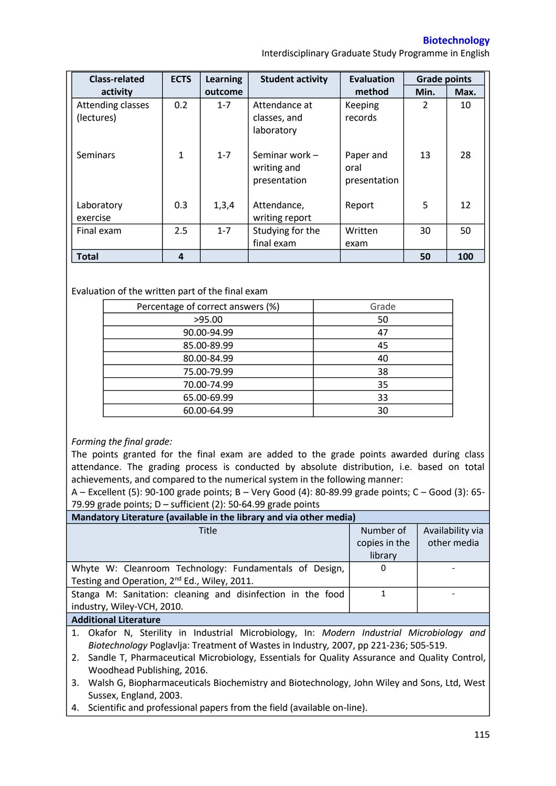**Biotechnology** 

Interdisciplinary Graduate Study Programme in English

| <b>Class-related</b>            | <b>ECTS</b> | <b>Learning</b> | <b>Student activity</b>                       | <b>Evaluation</b>                 | <b>Grade points</b> |      |
|---------------------------------|-------------|-----------------|-----------------------------------------------|-----------------------------------|---------------------|------|
| activity                        |             | outcome         |                                               | method                            | Min.                | Max. |
| Attending classes<br>(lectures) | 0.2         | $1 - 7$         | Attendance at<br>classes, and<br>laboratory   | Keeping<br>records                | 2                   | 10   |
| <b>Seminars</b>                 | 1           | $1 - 7$         | Seminar work -<br>writing and<br>presentation | Paper and<br>oral<br>presentation | 13                  | 28   |
| Laboratory<br>exercise          | 0.3         | 1,3,4           | Attendance,<br>writing report                 | Report                            | 5                   | 12   |
| Final exam                      | 2.5         | $1 - 7$         | Studying for the<br>final exam                | Written<br>exam                   | 30                  | 50   |
| <b>Total</b>                    | 4           |                 |                                               |                                   | 50                  | 100  |

## Evaluation of the written part of the final exam

| Percentage of correct answers (%) | Grade |  |
|-----------------------------------|-------|--|
| >95.00                            | 50    |  |
| 90.00-94.99                       | 47    |  |
| 85.00-89.99                       | 45    |  |
| 80.00-84.99                       | 40    |  |
| 75.00-79.99                       | 38    |  |
| 70.00-74.99                       | 35    |  |
| 65.00-69.99                       | 33    |  |
| 60.00-64.99                       | 30    |  |

## *Forming the final grade:*

The points granted for the final exam are added to the grade points awarded during class attendance. The grading process is conducted by absolute distribution, i.e. based on total achievements, and compared to the numerical system in the following manner:

A – Excellent (5): 90-100 grade points; B – Very Good (4): 80-89.99 grade points; C – Good (3): 65- 79.99 grade points; D – sufficient (2): 50-64.99 grade points

| Mandatory Literature (available in the library and via other media) |               |                  |  |  |  |  |
|---------------------------------------------------------------------|---------------|------------------|--|--|--|--|
| Title                                                               | Number of     | Availability via |  |  |  |  |
|                                                                     | copies in the | other media      |  |  |  |  |
|                                                                     | library       |                  |  |  |  |  |
| Whyte W: Cleanroom Technology: Fundamentals of Design,              | 0             |                  |  |  |  |  |
| Testing and Operation, 2 <sup>nd</sup> Ed., Wiley, 2011.            |               |                  |  |  |  |  |
| Stanga M: Sanitation: cleaning and disinfection in the food         |               |                  |  |  |  |  |
| industry, Wiley-VCH, 2010.                                          |               |                  |  |  |  |  |
| Additional Literature                                               |               |                  |  |  |  |  |

## **Additional Literature**

1. Okafor N, Sterility in Industrial Microbiology, In: *Modern Industrial Microbiology and Biotechnology* Poglavlja: Treatment of Wastes in Industry*,* 2007, pp 221-236; 505-519.

2. Sandle T, Pharmaceutical Microbiology, Essentials for Quality Assurance and Quality Control, Woodhead Publishing, 2016.

- 3. Walsh G, Biopharmaceuticals Biochemistry and Biotechnology, John Wiley and Sons, Ltd, West Sussex, England, 2003.
- 4. Scientific and professional papers from the field (available on-line).